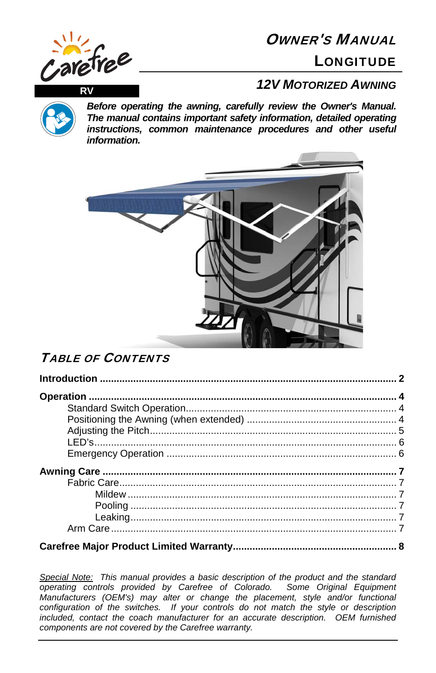

# OWNER'S MANUAL

**LONGITUDE** 



*Before operating the awning, carefully review the Owner's Manual. The manual contains important safety information, detailed operating instructions, common maintenance procedures and other useful information.*



## TABLE OF CONTENTS

*Special Note: This manual provides a basic description of the product and the standard operating controls provided by Carefree of Colorado. Some Original Equipment Manufacturers (OEM's) may alter or change the placement, style and/or functional configuration of the switches. If your controls do not match the style or description included, contact the coach manufacturer for an accurate description. OEM furnished components are not covered by the Carefree warranty.*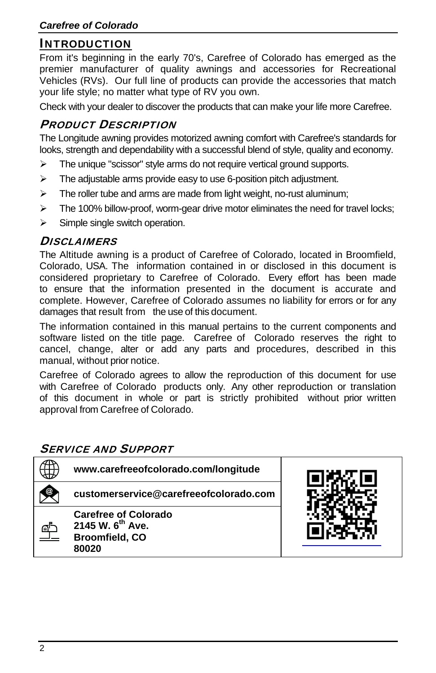## INTRODUCTION

From it's beginning in the early 70's, Carefree of Colorado has emerged as the premier manufacturer of quality awnings and accessories for Recreational Vehicles (RVs). Our full line of products can provide the accessories that match your life style; no matter what type of RV you own.

Check with your dealer to discover the products that can make your life more Carefree.

## PRODUCT DESCRIPTION

The Longitude awning provides motorized awning comfort with Carefree's standards for looks, strength and dependability with a successful blend of style, quality and economy.

- $\triangleright$  The unique "scissor" style arms do not require vertical ground supports.
- $\triangleright$  The adjustable arms provide easy to use 6-position pitch adjustment.
- $\triangleright$  The roller tube and arms are made from light weight, no-rust aluminum;
- $\triangleright$  The 100% billow-proof, worm-gear drive motor eliminates the need for travel locks;
- $\triangleright$  Simple single switch operation.

#### **DISCLAIMERS**

The Altitude awning is a product of Carefree of Colorado, located in Broomfield, Colorado, USA. The information contained in or disclosed in this document is considered proprietary to Carefree of Colorado. Every effort has been made to ensure that the information presented in the document is accurate and complete. However, Carefree of Colorado assumes no liability for errors or for any damages that result from the use of this document.

The information contained in this manual pertains to the current components and software listed on the title page. Carefree of Colorado reserves the right to cancel, change, alter or add any parts and procedures, described in this manual, without prior notice.

Carefree of Colorado agrees to allow the reproduction of this document for use with Carefree of Colorado products only. Any other reproduction or translation of this document in whole or part is strictly prohibited without prior written approval from Carefree of Colorado.

### SERVICE AND SUPPORT

| www.carefreeofcolorado.com/longitude                                                          |  |
|-----------------------------------------------------------------------------------------------|--|
| customerservice@carefreeofcolorado.com                                                        |  |
| <b>Carefree of Colorado</b><br>2145 W. 6 <sup>th</sup> Ave.<br><b>Broomfield, CO</b><br>80020 |  |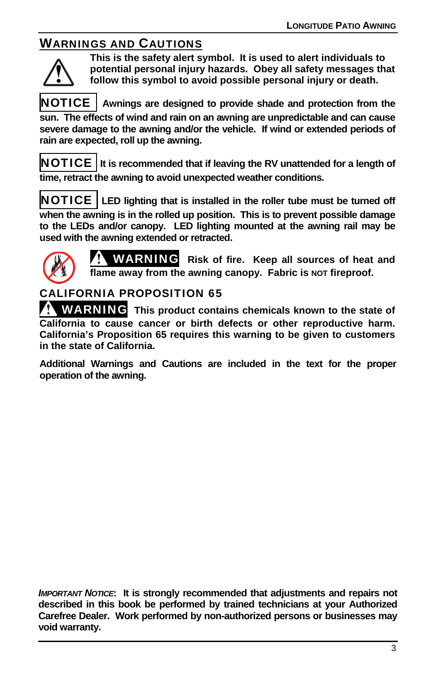## WARNINGS AND CAUTIONS



**This is the safety alert symbol. It is used to alert individuals to potential personal injury hazards. Obey all safety messages that follow this symbol to avoid possible personal injury or death.** 

NOTICE **Awnings are designed to provide shade and protection from the sun. The effects of wind and rain on an awning are unpredictable and can cause severe damage to the awning and/or the vehicle. If wind or extended periods of rain are expected, roll up the awning.**

NOTICE **It is recommended that if leaving the RV unattended for a length of time, retract the awning to avoid unexpected weather conditions.** 

NOTICE **LED lighting that is installed in the roller tube must be turned off when the awning is in the rolled up position. This is to prevent possible damage to the LEDs and/or canopy. LED lighting mounted at the awning rail may be used with the awning extended or retracted.** 



WARNING **Risk of fire. Keep all sources of heat and flame away from the awning canopy. Fabric is NOT fireproof.** 

## CALIFORNIA PROPOSITION 65

WARNING **This product contains chemicals known to the state of California to cause cancer or birth defects or other reproductive harm. California's Proposition 65 requires this warning to be given to customers in the state of California.** 

**Additional Warnings and Cautions are included in the text for the proper operation of the awning.** 

*IMPORTANT NOTICE***: It is strongly recommended that adjustments and repairs not described in this book be performed by trained technicians at your Authorized Carefree Dealer. Work performed by non-authorized persons or businesses may void warranty.**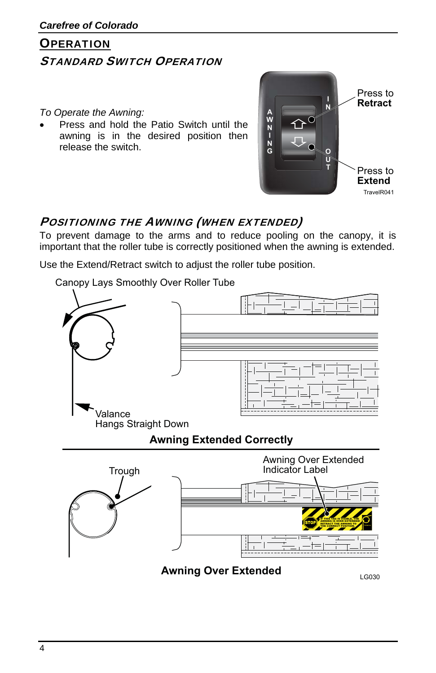# **OPERATION** STANDARD SWITCH OPERATION

#### *To Operate the Awning:*

 Press and hold the Patio Switch until the awning is in the desired position then release the switch.



## POSITIONING THE AWNING (WHEN EXTENDED)

To prevent damage to the arms and to reduce pooling on the canopy, it is important that the roller tube is correctly positioned when the awning is extended.

Use the Extend/Retract switch to adjust the roller tube position.

Canopy Lays Smoothly Over Roller Tube

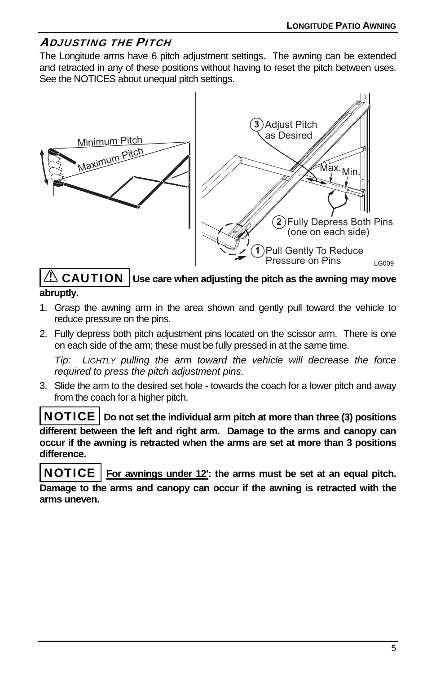## ADJUSTING THE PITCH

The Longitude arms have 6 pitch adjustment settings. The awning can be extended and retracted in any of these positions without having to reset the pitch between uses. See the NOTICES about unequal pitch settings.



### *A* **CAUTION | Use care when adjusting the pitch as the awning may move abruptly.**

- 1. Grasp the awning arm in the area shown and gently pull toward the vehicle to reduce pressure on the pins.
- 2. Fully depress both pitch adjustment pins located on the scissor arm. There is one on each side of the arm; these must be fully pressed in at the same time.

*Tip: LIGHTLY pulling the arm toward the vehicle will decrease the force required to press the pitch adjustment pins.* 

3. Slide the arm to the desired set hole - towards the coach for a lower pitch and away from the coach for a higher pitch.

NOTICE **Do not set the individual arm pitch at more than three (3) positions different between the left and right arm. Damage to the arms and canopy can occur if the awning is retracted when the arms are set at more than 3 positions difference.** 

NOTICE **For awnings under 12': the arms must be set at an equal pitch. Damage to the arms and canopy can occur if the awning is retracted with the arms uneven.**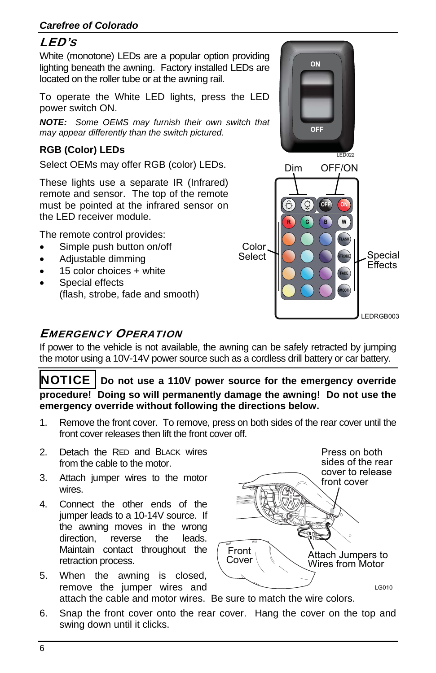### *Carefree of Colorado*

## LED'S

White (monotone) LEDs are a popular option providing lighting beneath the awning. Factory installed LEDs are located on the roller tube or at the awning rail.

To operate the White LED lights, press the LED power switch ON.

*NOTE: Some OEMS may furnish their own switch that may appear differently than the switch pictured.* 

### **RGB (Color) LEDs**

Select OEMs may offer RGB (color) LEDs.

These lights use a separate IR (Infrared) remote and sensor. The top of the remote must be pointed at the infrared sensor on the LED receiver module.

The remote control provides:

- Simple push button on/off
- Adjustable dimming
- 15 color choices + white
- Special effects (flash, strobe, fade and smooth)





## EMERGENCY OPERATION

If power to the vehicle is not available, the awning can be safely retracted by jumping the motor using a 10V-14V power source such as a cordless drill battery or car battery.

NOTICE **Do not use a 110V power source for the emergency override procedure! Doing so will permanently damage the awning! Do not use the emergency override without following the directions below.** 

- 1. Remove the front cover. To remove, press on both sides of the rear cover until the front cover releases then lift the front cover off.
- 2. Detach the RED and BLACK wires from the cable to the motor.
- 3. Attach jumper wires to the motor wires.
- 4. Connect the other ends of the jumper leads to a 10-14V source. If the awning moves in the wrong direction, reverse the leads. Maintain contact throughout the retraction process.
- 5. When the awning is closed, remove the jumper wires and attach the cable and motor wires. Be sure to match the wire colors.



6. Snap the front cover onto the rear cover. Hang the cover on the top and swing down until it clicks.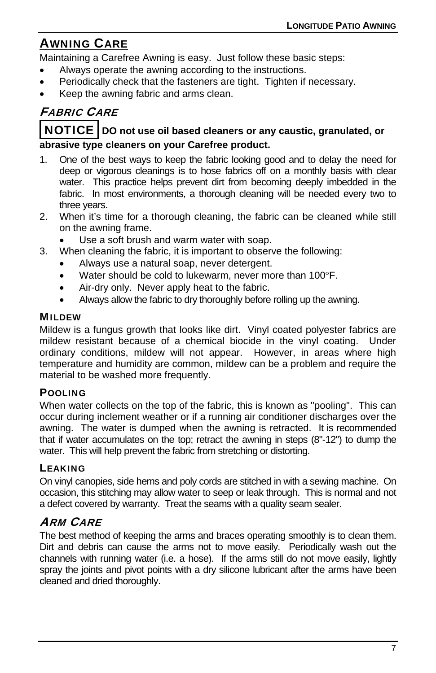## AWNING CARE

Maintaining a Carefree Awning is easy. Just follow these basic steps:

- Always operate the awning according to the instructions.
- Periodically check that the fasteners are tight. Tighten if necessary.
- Keep the awning fabric and arms clean.

## FABRIC CARE

#### NOTICE **DO not use oil based cleaners or any caustic, granulated, or abrasive type cleaners on your Carefree product.**

- 1. One of the best ways to keep the fabric looking good and to delay the need for deep or vigorous cleanings is to hose fabrics off on a monthly basis with clear water. This practice helps prevent dirt from becoming deeply imbedded in the fabric. In most environments, a thorough cleaning will be needed every two to three years.
- 2. When it's time for a thorough cleaning, the fabric can be cleaned while still on the awning frame.
	- Use a soft brush and warm water with soap.
- 3. When cleaning the fabric, it is important to observe the following:
	- Always use a natural soap, never detergent.
	- Water should be cold to lukewarm, never more than 100°F.
	- Air-dry only. Never apply heat to the fabric.
	- Always allow the fabric to dry thoroughly before rolling up the awning.

#### MILDEW

Mildew is a fungus growth that looks like dirt. Vinyl coated polyester fabrics are mildew resistant because of a chemical biocide in the vinyl coating. Under ordinary conditions, mildew will not appear. However, in areas where high temperature and humidity are common, mildew can be a problem and require the material to be washed more frequently.

#### POOLING

When water collects on the top of the fabric, this is known as "pooling". This can occur during inclement weather or if a running air conditioner discharges over the awning. The water is dumped when the awning is retracted. It is recommended that if water accumulates on the top; retract the awning in steps (8"-12") to dump the water. This will help prevent the fabric from stretching or distorting.

#### **LEAKING**

On vinyl canopies, side hems and poly cords are stitched in with a sewing machine. On occasion, this stitching may allow water to seep or leak through. This is normal and not a defect covered by warranty. Treat the seams with a quality seam sealer.

## ARM CARE

The best method of keeping the arms and braces operating smoothly is to clean them. Dirt and debris can cause the arms not to move easily. Periodically wash out the channels with running water (i.e. a hose). If the arms still do not move easily, lightly spray the joints and pivot points with a dry silicone lubricant after the arms have been cleaned and dried thoroughly.